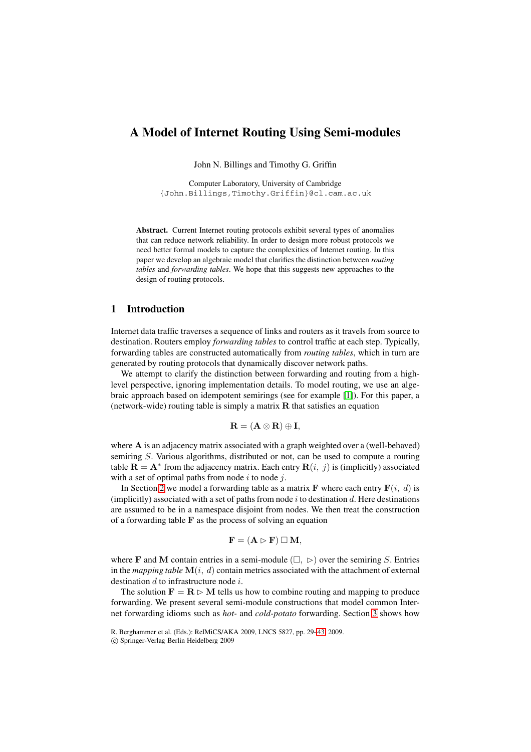# **A Model of Internet Routing Using Semi-modules**

John N. Billings and Timothy G. Griffin

Computer Laboratory, University of Cambridge {John.Billings,Timothy.Griffin}@cl.cam.ac.uk

**Abstract.** Current Internet routing protocols exhibit several types of anomalies that can reduce network reliability. In order to design more robust protocols we need better formal models to capture the complexities of Internet routing. In this paper we develop an algebraic model that clarifies the distinction between *routing tables* and *forwarding tables*. We hope that this suggests new approaches to the design of routing protocols.

# **1 Introduction**

Internet data traffic traverses a sequence of links and routers as it travels from source to destination. Routers employ *forwarding tables* to control traffic at each step. Typically, forwarding tables are constructed automatically from *routing tables*, which in turn are generated by routing protocols that dynamically discover network paths.

We attempt to clarify the distinction between forwarding and routing from a highlevel perspective, ignoring implementation details. To model routing, we use an algebraic approach based on idempotent semirings (see for example [1]). For this paper, a (network-wide) routing table is simply a matrix **R** that satisfies an equation

$$
\mathbf{R} = (\mathbf{A} \otimes \mathbf{R}) \oplus \mathbf{I},
$$

where **A** is an adjacency matrix associated with a graph weighted [ov](#page-13-0)er a (well-behaved) semiring S. Various algorithms, distributed or not, can be used to compute a routing table  $\mathbf{R} = \mathbf{A}^*$  from the adjacency matrix. Each entry  $\mathbf{R}(i, j)$  is (implicitly) associated with a set of optimal paths from node  $i$  to node  $j$ .

In Section 2 we model a forwarding table as a matrix **F** where each entry  $\mathbf{F}(i, d)$  is (implicitly) associated with a set of paths from node i to destination d. Here destinations are assumed to be in a namespace disjoint from nodes. We then treat the construction of a forwarding table **F** as the process of solving an equation

$$
\mathbf{F} = (\mathbf{A} \rhd \mathbf{F}) \square \mathbf{M},
$$

where **F** and **M** contain entries in a semi-module  $(\square, \triangleright)$  over the semiring S. Entries in the *mapping table*  $\mathbf{M}(i, d)$  contain metrics associated with the attachment of external destination  $d$  to infrastructure node  $i$ .

The solution  $\mathbf{F} = \mathbf{R} \triangleright \mathbf{M}$  tells us how to combine routing and mapping to produce forwarding. We present several semi-module constructions that model common Internet forwarding idioms such as *hot-* and *cold-potato* forwarding. Section 3 shows how

R. Berghammer et al. (Eds.): RelMiCS/AKA 2009, LNCS 5827, pp. 29–43, 2009.

<sup>-</sup>c Springer-Verlag Berlin Heidelberg 2009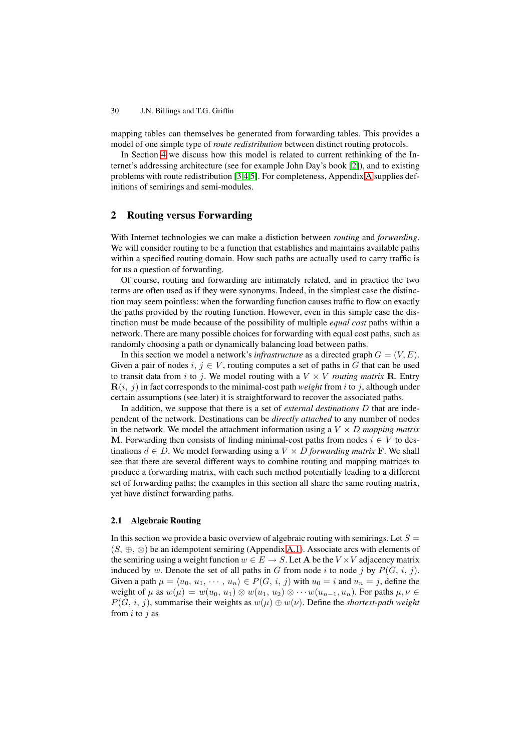mapping tables can themselves be generated from forwarding tables. This provides a model of one simple type of *route redistribution* between distinct routing protocols.

In Section 4 we discuss how this model is related to current rethinking of the Internet's addressing architecture (see for example John Day's book [2]), and to existing problems with route redistribution [3,4,5]. For completeness, Appendix A supplies definitions of semirings and semi-modules.

# **2 Routing versus Forwar[di](#page-13-1)[n](#page-13-2)[g](#page-13-3)**

<span id="page-1-0"></span>With Internet technologies we can make a distiction between *routing* and *forwarding*. We will consider routing to be a function that establishes and maintains available paths within a specified routing domain. How such paths are actually used to carry traffic is for us a question of forwarding.

Of course, routing and forwarding are intimately related, and in practice the two terms are often used as if they were synonyms. Indeed, in the simplest case the distinction may seem pointless: when the forwarding function causes traffic to flow on exactly the paths provided by the routing function. However, even in this simple case the distinction must be made because of the possibility of multiple *equal cost* paths within a network. There are many possible choices for forwarding with equal cost paths, such as randomly choosing a path or dynamically balancing load between paths.

In this section we model a network's *infrastructure* as a directed graph  $G = (V, E)$ . Given a pair of nodes i,  $j \in V$ , routing computes a set of paths in G that can be used to transit data from i to j. We model routing with a  $V \times V$  *routing matrix* **R**. Entry  **in fact corresponds to the minimal-cost path** *weight* **from i to j, although under** certain assumptions (see later) it is straightforward to recover the associated paths.

In addition, we suppose that there is a set of *external destinations* D that are independent of the network. Destinations can be *directly attached* to any number of nodes in the network. We model the attachment information using a  $V \times D$  *mapping matrix* **M**. Forwarding then consists of finding minimal-cost paths from nodes  $i \in V$  to destinations  $d \in D$ . We model forwarding using a  $V \times D$  *forwarding matrix* **F**. We shall see that there are several different ways to combine routing and mapping matrices to produce a forwarding matrix, with each such method potentially leading to a different set of forwarding paths; the examples in this section all share the same routing matrix, yet have distinct forwarding paths.

### **2.1 Algebraic Routing**

In this section we provide a basic overview of algebraic routing with semirings. Let  $S =$  $(S, ⊕, ⊗)$  be an idempotent semiring (Appendix A.1). Associate arcs with elements of the semiring using a weight function  $w \in E \to S$ . Let **A** be the  $V \times V$  adjacency matrix induced by w. Denote the set of all paths in G from node i to node j by  $P(G, i, j)$ . Given a path  $\mu = \langle u_0, u_1, \cdots, u_n \rangle \in P(G, i, j)$  with  $u_0 = i$  and  $u_n = j$ , define the weight of  $\mu$  as  $w(\mu) = w(u_0, u_1) \otimes w(u_1, u_2) \otimes \cdots w(u_{n-1}, u_n)$ . For paths  $\mu, \nu \in$  $P(G, i, j)$ , summarise their weights as  $w(\mu) \oplus w(\nu)$ . Define the *shortest-path weight* from  $i$  to  $j$  as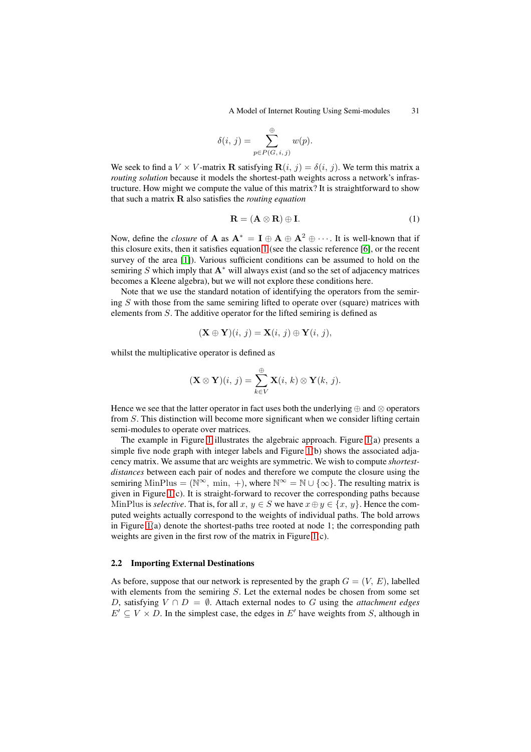A Model of Internet Routing Using Semi-modules 31

$$
\delta(i, j) = \sum_{p \in P(G, i, j)}^{\oplus} w(p).
$$

We seek to find a  $V \times V$ -matrix **R** satisfying  $\mathbf{R}(i, j) = \delta(i, j)$ . We term this matrix a *routing solution* because it models the shortest-path weights across a network's infrastructure. How might we compute the value of this matrix? It is straightforward to show that such a matrix **R** also satisfies the *routing equation*

<span id="page-2-0"></span>
$$
\mathbf{R} = (\mathbf{A} \otimes \mathbf{R}) \oplus \mathbf{I}.\tag{1}
$$

Now, define the *closure* of **A** as  $A^* = I \oplus A \oplus A^2 \oplus \cdots$ . It is well-known that if this closure exits, then it satisfies equation 1 (see the classic reference [6], or the recent survey of the area [1]). Various sufficient conditions can be assumed to hold on the semiring S which imply that  $A^*$  will always exist (and so the set of adjacency matrices becomes a Kleene algebra), but we will not explore these conditions here.

Note that we use the standard notation [of](#page-2-0) identifying the operators [fr](#page-13-4)om the semiring S with those fr[om](#page-13-0) the same semiring lifted to operate over (square) matrices with elements from  $S$ . The additive operator for the lifted semiring is defined as

$$
(\mathbf{X} \oplus \mathbf{Y})(i, j) = \mathbf{X}(i, j) \oplus \mathbf{Y}(i, j),
$$

whilst the multiplicative operator is defined as

$$
(\mathbf{X} \otimes \mathbf{Y})(i, j) = \sum_{k \in V}^{\oplus} \mathbf{X}(i, k) \otimes \mathbf{Y}(k, j).
$$

Hence we see that the latter operator in fact uses both the underlying  $oplus$  and  $\otimes$  operators from S. This distinction will become more significant when we consider lifting certain semi-modules to operate over matrices.

The example in Figure 1 illustrates the algebraic approach. Figure 1(a) presents a simple five node graph with integer labels and Figure 1(b) shows the associated adjacency matrix. We assume that arc weights are symmetric. We wish to compute *shortestdistances* between each pair of nodes and therefore we compute the closure using the semiring MinPlus = ( $\mathbb{N}^{\infty}$ [,](#page-3-0) min, +), where  $\mathbb{N}^{\infty} = \mathbb{N} \cup \{\infty\}$ . The re[sul](#page-3-0)ting matrix is given in Figure 1(c). It is straight-forward to recover t[he](#page-3-0) corresponding paths because MinPlus is *selective*. That is, for all  $x, y \in S$  we have  $x \oplus y \in \{x, y\}$ . Hence the computed weights actually correspond to the weights of individual paths. The bold arrows in Figure 1(a) denote the shortest-paths tree rooted at node 1; the corresponding path weights are giv[en](#page-3-0) in the first row of the matrix in Figure 1(c).

### **2.2 Im[por](#page-3-0)ting External Destinations**

As before, suppose that our network is represented by t[he](#page-3-0) graph  $G = (V, E)$ , labelled with elements from the semiring  $S$ . Let the external nodes be chosen from some set D, satisfying  $V ∩ D = ∅$ . Attach external nodes to G using the *attachment edges*  $E' \subseteq V \times D$ . In the simplest case, the edges in E' have weights from S, although in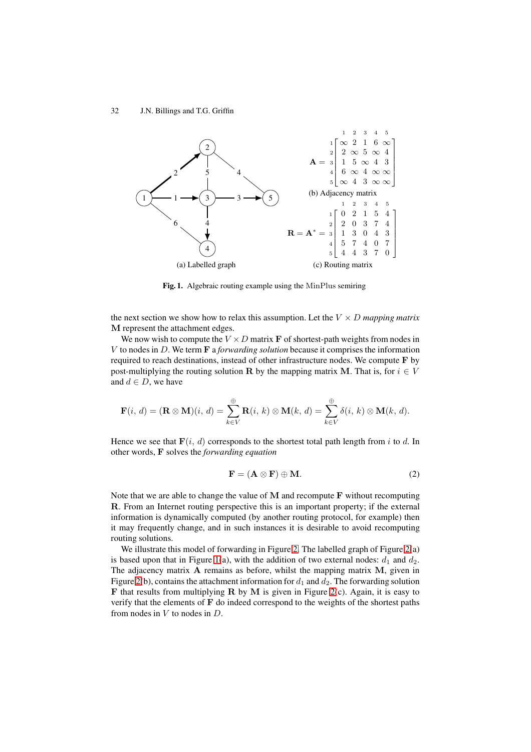

<span id="page-3-0"></span>**Fig. 1.** Algebraic routing example using the MinPlus semiring

the next section we show how to relax this assumption. Let the  $V \times D$  *mapping matrix* **M** represent the attachment edges.

We now wish to compute the  $V \times D$  matrix **F** of shortest-path weights from nodes in V to nodes in D. We term **F** a *forwarding solution* because it comprises the information required to reach destinations, instead of other infrastructure nodes. We compute **F** by post-multiplying the routing solution **R** by the mapping matrix **M**. That is, for  $i \in V$ and  $d \in D$ , we have

$$
\mathbf{F}(i, d) = (\mathbf{R} \otimes \mathbf{M})(i, d) = \sum_{k \in V}^{\oplus} \mathbf{R}(i, k) \otimes \mathbf{M}(k, d) = \sum_{k \in V}^{\oplus} \delta(i, k) \otimes \mathbf{M}(k, d).
$$

Hence we see that  $\mathbf{F}(i, d)$  corresponds to the shortest total path length from i to d. In other words, **F** solves the *forwarding equation*

$$
\mathbf{F} = (\mathbf{A} \otimes \mathbf{F}) \oplus \mathbf{M}.\tag{2}
$$

Note that we are able to change the value of **M** and recompute **F** without recomputing **R**. From an Internet routing perspective this is an important property; if the external information is dynamically computed (by another routing protocol, for example) then it may frequently change, and in such instances it is desirable to avoid recomputing routing solutions.

We illustrate this model of forwarding in Figure 2. The labelled graph of Figure 2(a) is based upon that in Figure 1(a), with the addition of two external nodes:  $d_1$  and  $d_2$ . The adjacency matrix **A** remains as before, whilst the mapping matrix **M**, given in Figure 2(b), contains the attachment information for  $d_1$  and  $d_2$ . The forwarding solution **F** that results from multiplying **R** by **M** is given [in](#page-4-0) Figure 2(c). Again, it is ea[sy](#page-4-0) to verify that the elements of **F** [do](#page-3-0) indeed correspond to the weights of the shortest paths from nodes in  $V$  to nodes in  $D$ .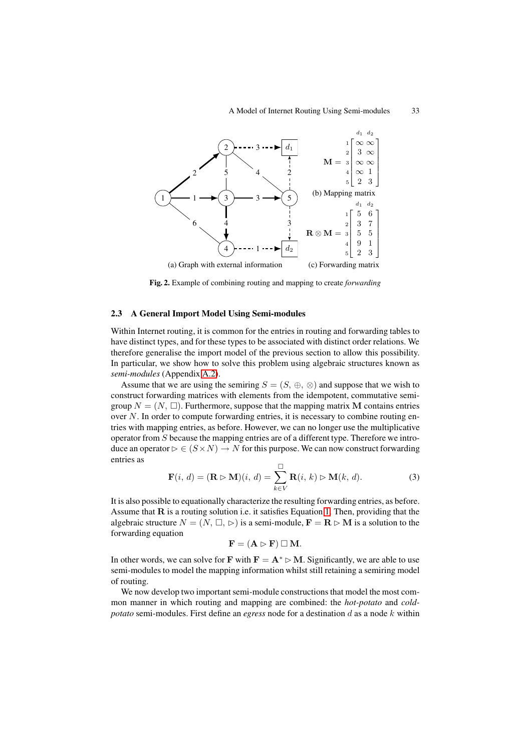

<span id="page-4-0"></span>**Fig. 2.** Example of combining routing and mapping to create *forwarding*

### **2.3 A General Import Model Using Semi-modules**

Within Internet routing, it is common for the entries in routing and forwarding tables to have distinct types, and for these types to be associated with distinct order relations. We therefore generalise the import model of the previous section to allow this possibility. In particular, we show how to solve this problem using algebraic structures known as *semi-modules* (Appendix A.2).

Assume that we are using the semiring  $S = (S, \oplus, \otimes)$  and suppose that we wish to construct forwarding matrices with elements from the idempotent, commutative semigroup  $N = (N, \Box)$ . Furthermore, suppose that the mapping matrix **M** contains entries over  $N$ . In order to com[pute f](#page-14-1)orwarding entries, it is necessary to combine routing entries with mapping entries, as before. However, we can no longer use the multiplicative operator from  $S$  because the mapping entries are of a different type. Therefore we introduce an operator  $\triangleright \in (S \times N) \to N$  for this purpose. We can now construct forwarding entries as

$$
\mathbf{F}(i, d) = (\mathbf{R} \triangleright \mathbf{M})(i, d) = \sum_{k \in V}^{\square} \mathbf{R}(i, k) \triangleright \mathbf{M}(k, d). \tag{3}
$$

It is also possible to equationally characterize the resulting forwarding entries, as before. Assume that **R** is a routing solution i.e. it satisfies Equation 1. Then, providing that the algebraic structure  $N = (N, \Box, \triangleright)$  is a semi-module,  $\mathbf{F} = \mathbf{R} \triangleright \mathbf{M}$  is a solution to the forwarding equation

$$
\mathbf{F} = (\mathbf{A} \rhd \mathbf{F}) \sqcup \mathbf{M}.
$$

In other words, we can solve for **F** with  $\mathbf{F} = \mathbf{A}^* \triangleright \mathbf{M}$ . Sign[ifi](#page-2-0)cantly, we are able to use semi-modules to model the mapping information whilst still retaining a semiring model of routing.

We now develop two important semi-module constructions that model the most common manner in which routing and mapping are combined: the *hot-potato* and *coldpotato* semi-modules. First define an *egress* node for a destination d as a node k within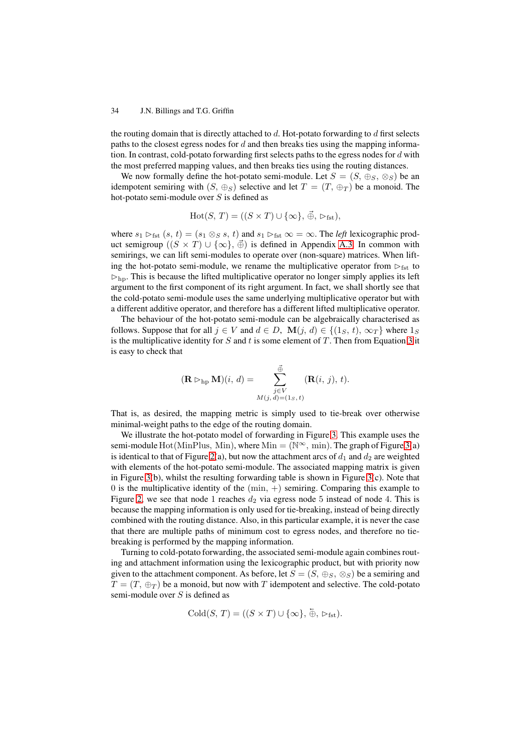the routing domain that is directly attached to  $d$ . Hot-potato forwarding to  $d$  first selects paths to the closest egress nodes for  $d$  and then breaks ties using the mapping information. In contrast, cold-potato forwarding first selects paths to the egress nodes for  $d$  with the most preferred mapping values, and then breaks ties using the routing distances.

We now formally define the hot-potato semi-module. Let  $S = (S, \oplus_S, \otimes_S)$  be an idempotent semiring with  $(S, \oplus_S)$  selective and let  $T = (T, \oplus_T)$  be a monoid. The hot-potato semi-module over  $S$  is defined as

$$
Hot(S, T) = ((S \times T) \cup {\{\infty\}}, \vec{\oplus}, \vartriangleright_{\text{fst}}),
$$

where  $s_1 \rhd_{\text{fst}} (s, t) = (s_1 \otimes_S s, t)$  and  $s_1 \rhd_{\text{fst}} \infty = \infty$ . The *left* lexicographic product semigroup  $((S \times T) \cup {\{\infty\}}, \vec{\oplus})$  is defined in Appendix A.3. In common with semirings, we can lift semi-modules to operate over (non-square) matrices. When lifting the hot-potato semi-module, we rename the multiplicative operator from  $\rhd_{\text{fst}}$  to  $\rhd$ <sub>hp</sub>. This is because the lifted multiplicative operator no longer simply applies its left argument to the first component of its right argument. In fact, [we sh](#page-14-2)all shortly see that the cold-potato semi-module uses the same underlying multiplicative operator but with a different additive operator, and therefore has a different lifted multiplicative operator.

The behaviour of the hot-potato semi-module can be algebraically characterised as follows. Suppose that for all  $j \in V$  and  $d \in D$ ,  $\mathbf{M}(j, d) \in \{(1_S, t), \infty_T\}$  where  $1_S$ is the multiplicative identity for  $S$  and  $t$  is some element of  $T$ . Then from Equation 3 it is easy to check that

$$
(\mathbf{R} \rhd_{\text{hp}} \mathbf{M})(i, d) = \sum_{\substack{j \in V \\ M(j, d) = (1s, t)}}^{\vec{\oplus}} (\mathbf{R}(i, j), t).
$$

That is, as desired, the mapping metric is simply used to tie-break over otherwise minimal-weight paths to the edge of the routing domain.

We illustrate the hot-potato model of forwarding in Figure 3. This example uses the semi-module Hot(MinPlus, Min), where  $Min = (N^{\infty}, min)$ . The graph of Figure 3(a) is identical to that of Figure 2(a), but now the attachment arcs of  $d_1$  and  $d_2$  are weighted with elements of the hot-potato semi-module. The associated mapping matrix is given in Figure 3(b), whilst the resulting forwarding table is shown [in](#page-6-0) Figure 3(c). Note that 0 is the multiplicative identity of the  $(min, +)$  semiring. Comparing this examp[le](#page-6-0) to Figure 2, we see that node [1](#page-4-0) reaches  $d_2$  via egress node 5 instead of node 4. This is because the mapping information is only used for tie-breaking, instead of being directly combine[d w](#page-6-0)ith the routing distance. Also, in this particular example, it i[s n](#page-6-0)ever the case that there are multiple paths of minimum cost to egress nodes, and therefore no tiebreaki[ng](#page-4-0) is performed by the mapping information.

Turning to cold-potato forwarding, the associated semi-module again combines routing and attachment information using the lexicographic product, but with priority now given to the attachment component. As before, let  $S = (S, \oplus_S, \otimes_S)$  be a semiring and  $T = (T, \oplus_T)$  be a monoid, but now with T idempotent and selective. The cold-potato semi-module over  $S$  is defined as

$$
Cold(S, T) = ((S \times T) \cup {\{\infty\}}, \overleftarrow{\oplus}, \rhd_{\text{fst}}).
$$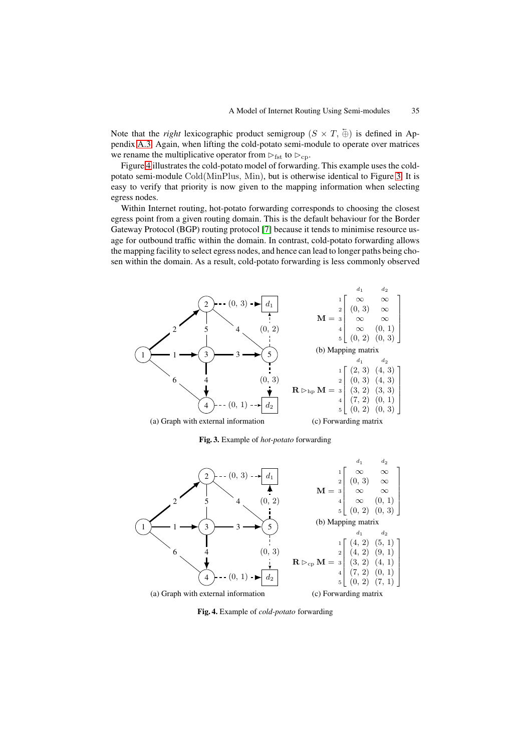Note that the *right* lexicographic product semigroup  $(S \times T, \frac{1}{N})$  is defined in Appendix A.3. Again, when lifting the cold-potato semi-module to operate over matrices we rename the multiplicative operator from  $\triangleright_{\text{fst}}$  to  $\triangleright_{\text{cp}}$ .

Figure 4 illustrates the cold-potato model of forwarding. This example uses the coldpotato semi-module Cold(MinPlus, Min), but is otherwise identical to Figure 3. It is easy t[o veri](#page-14-2)fy that priority is now given to the mapping information when selecting egress nodes.

Within [In](#page-6-1)ternet routing, hot-potato forwarding corresponds to choosing the closest egress point from a given routing domain. This is the default behaviour for the [Bo](#page-6-0)rder Gateway Protocol (BGP) routing protocol [7] because it tends to minimise resource usage for outbound traffic within the domain. In contrast, cold-potato forwarding allows the mapping facility to select egress nodes, and hence can lead to longer paths being chosen within the domain. As a result, cold-potato forwarding is less commonly observed



<span id="page-6-0"></span>**Fig. 3.** Example of *hot-potato* forwarding



<span id="page-6-1"></span>**Fig. 4.** Example of *cold-potato* forwarding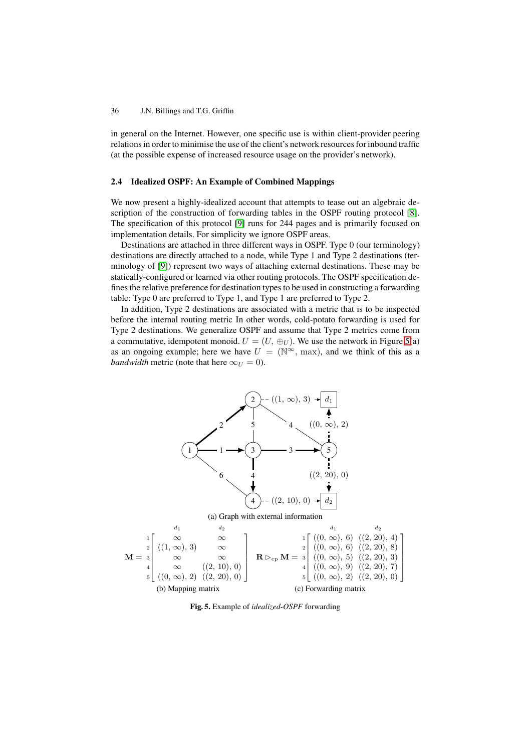in general on the Internet. However, one specific use is within client-provider peering relations in order to minimise the use of the client's network resources for inbound traffic (at the possible expense of increased resource usage on the provider's network).

# **2.4 Idealized OSPF: An Example of Combined Mappings**

We now present a highly-idealized account that attempts to tease out an algebraic description of the construction of forwarding tables in the OSPF routing protocol [8]. The specification of this protocol [9] runs for 244 pages and is primarily focused on implementation details. For simplicity we ignore OSPF areas.

Destinations are attached in three different ways in OSPF. Type 0 (our terminology) destinations are directly attached to a node, while Type 1 and Type 2 destinations ([ter](#page-13-5)minology of [9]) represent two wa[ys](#page-13-6) of attaching external destinations. These may be statically-configured or learned via other routing protocols. The OSPF specification defines the relative preference for destination types to be used in constructing a forwarding table: Type 0 are preferred to Type 1, and Type 1 are preferred to Type 2.

In additio[n, T](#page-13-6)ype 2 destinations are associated with a metric that is to be inspected before the internal routing metric In other words, cold-potato forwarding is used for Type 2 destinations. We generalize OSPF and assume that Type 2 metrics come from a commutative, idempotent monoid.  $U = (U, \oplus_U)$ . We use the network in Figure 5(a) as an ongoing example; here we have  $U = (\mathbb{N}^{\infty}, \text{max})$ , and we think of this as a *bandwidth* metric (note that here  $\infty_U = 0$ ).



**Fig. 5.** Example of *idealized-OSPF* forwarding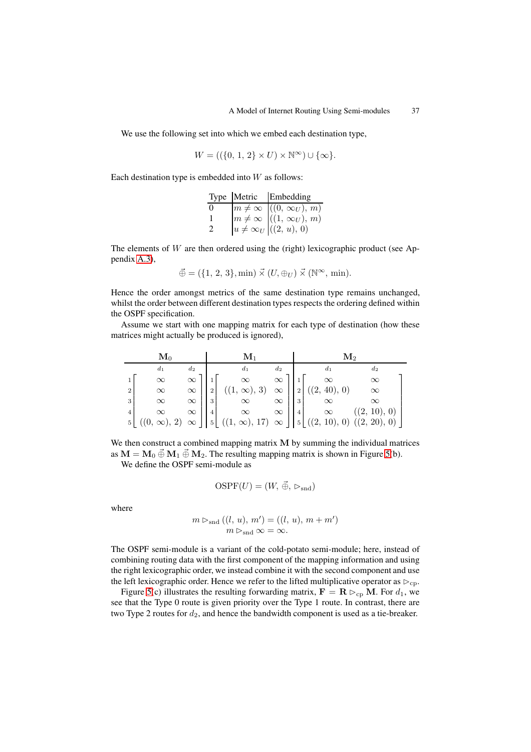We use the following set into which we embed each destination type,

$$
W = ((\{0, 1, 2\} \times U) \times \mathbb{N}^{\infty}) \cup \{\infty\}.
$$

Each destination type is embedded into  $W$  as follows:

|   | Type Metric Embedding                |
|---|--------------------------------------|
| 0 | $m \neq \infty$ $((0, \infty_U), m)$ |
| 1 | $m \neq \infty$ $((1, \infty_U), m)$ |
| 2 | $ u \neq \infty_U   ((2, u), 0)$     |

The elements of  $W$  are then ordered using the (right) lexicographic product (see Appendix A.3),

$$
\vec{\oplus} = (\{1, 2, 3\}, \min) \vec{\times} (U, \oplus_U) \vec{\times} (\mathbb{N}^\infty, \min).
$$

Hence the order amongst metrics of the same destination type remains unchanged, whilst [the o](#page-14-2)rder between different destination types respects the ordering defined within the OSPF specification.

Assume we start with one mapping matrix for each type of destination (how these matrices might actually be produced is ignored),

| $\mathbf{M}_{0}$ |          |          |              | $\mathbf{M}_1$                                                                                                                                                                                                                          |              | $\mathbf{M}_2$                |              |  |  |
|------------------|----------|----------|--------------|-----------------------------------------------------------------------------------------------------------------------------------------------------------------------------------------------------------------------------------------|--------------|-------------------------------|--------------|--|--|
|                  | $d_1$    | $d_2$    |              | $d_1$                                                                                                                                                                                                                                   | $d_2$        | $d_1$                         | $d_2$        |  |  |
|                  | $\infty$ | $\infty$ |              | $\infty$                                                                                                                                                                                                                                | $\infty$     | $\infty$                      | $\infty$     |  |  |
| 2 <sub>1</sub>   | $\infty$ | $\infty$ | <sup>2</sup> | $((1, \infty), 3)$                                                                                                                                                                                                                      |              | $\infty$     2   ((2, 40), 0) | $\infty$     |  |  |
| 3 <sup>1</sup>   | $\infty$ | $\infty$ | 3            | $\alpha$ $\infty$ $\infty$                                                                                                                                                                                                              | $\infty$   3 | $\infty$                      |              |  |  |
|                  |          |          |              |                                                                                                                                                                                                                                         |              |                               | ((2, 10), 0) |  |  |
|                  |          |          |              | $\begin{array}{c} 4 \\ 5 \end{array}$ ((0, $\infty$ ), 2) $\infty$ $\begin{array}{c} \infty \\ \infty \end{array}$ ((1, $\infty$ ), 17) $\infty$ $\begin{array}{c} \infty \\ \infty \end{array}$ ((2, 10), 0) ((2, 20), 0) ((2, 20), 0) |              |                               |              |  |  |

We then construct a combined mapping matrix **M** by summing the individual matrices as  $M = M_0 \vec{\oplus} M_1 \vec{\oplus} M_2$ . The resulting mapping matrix is shown in Figure 5(b).

We define the OSPF semi-module as

$$
OSPF(U) = (W, \vec{\oplus}, \rhd_{\text{snd}})
$$

where

$$
m \triangleright_{\text{snd}} ((l, u), m') = ((l, u), m + m')
$$
  

$$
m \triangleright_{\text{snd}} \infty = \infty.
$$

The OSPF semi-module is a variant of the cold-potato semi-module; here, instead of combining routing data with the first component of the mapping information and using the right lexicographic order, we instead combine it with the second component and use the left lexicographic order. Hence we refer to the lifted multiplicative operator as  $\rhd_{\rm cp}$ .

Figure 5(c) illustrates the resulting forwarding matrix,  $\mathbf{F} = \mathbf{R} \triangleright_{\rm cp} \mathbf{M}$ . For  $d_1$ , we see that the Type 0 route is given priority over the Type 1 route. In contrast, there are two Type 2 routes for  $d_2$ , and hence the bandwidth component is used as a tie-breaker.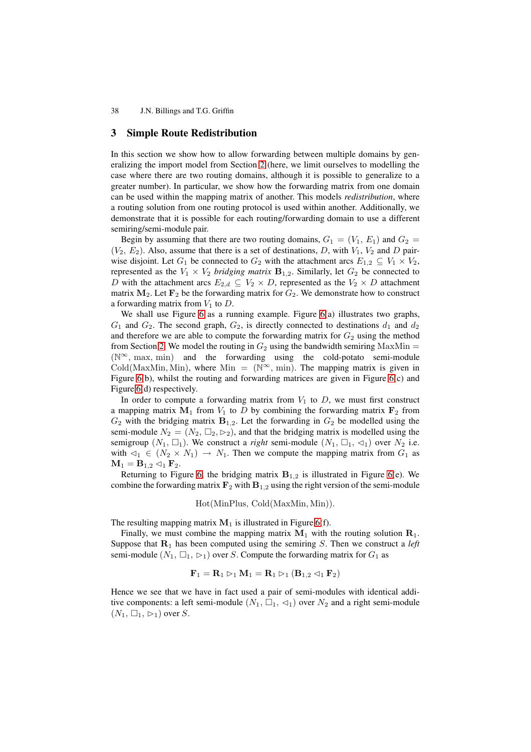# **3 Simple Route Redistribution**

In this section we show how to allow forwarding between multiple domains by generalizing the import model from Section 2 (here, we limit ourselves to modelling the case where there are two routing domains, although it is possible to generalize to a greater number). In particular, we show how the forwarding matrix from one domain can be used within the mapping matrix of another. This models *redistribution*, where a routing solution from one routing prot[oc](#page-1-0)ol is used within another. Additionally, we demonstrate that it is possible for each routing/forwarding domain to use a different semiring/semi-module pair.

Begin by assuming that there are two routing domains,  $G_1 = (V_1, E_1)$  and  $G_2$  $(V_2, E_2)$ . Also, assume that there is a set of destinations, D, with  $V_1, V_2$  and D pairwise disjoint. Let  $G_1$  be connected to  $G_2$  with the attachment arcs  $E_{1,2} \subseteq V_1 \times V_2$ , represented as the  $V_1 \times V_2$  *bridging matrix*  $\mathbf{B}_{1,2}$ . Similarly, let  $G_2$  be connected to D with the attachment arcs  $E_{2,d} \subseteq V_2 \times D$ , represented as the  $V_2 \times D$  attachment matrix  $M_2$ . Let  $F_2$  be the forwarding matrix for  $G_2$ . We demonstrate how to construct a forwarding matrix from  $V_1$  to  $D$ .

We shall use Figure 6 as a running example. Figure 6(a) illustrates two graphs,  $G_1$  and  $G_2$ . The second graph,  $G_2$ , is directly connected to destinations  $d_1$  and  $d_2$ and therefore we are able to compute the forwarding matrix for  $G_2$  using the method from Section 2. We model the routing in  $G_2$  using the bandwidth semiring MaxMin = (N∞, max, min) and the forwarding using the [c](#page-10-0)old-potato semi-module Cold(MaxMin, Min), where Min =  $(N^{\infty}, min)$ . The mapping matrix is given in Figure 6(b), whilst the routing and forwarding matrices are given in Figure 6(c) and Figure 6(d) r[esp](#page-1-0)ectively.

In order to compute a forwarding matrix from  $V_1$  to  $D$ , we must first construct a mapping matrix  $M_1$  from  $V_1$  to D by combining the forwarding matrix  $F_2$  from  $G_2$  wi[th](#page-10-0) the bridging matrix  $\mathbf{B}_{1,2}$ . Let the forwarding in  $G_2$  be modelled [usi](#page-10-0)ng the semi-[mo](#page-10-0)dule  $N_2 = (N_2, \Box_2, \triangleright_2)$ , and that the bridging matrix is modelled using the semigroup  $(N_1, \Box_1)$ . We construct a *right* semi-module  $(N_1, \Box_1, \triangleleft_1)$  over  $N_2$  i.e. with  $\triangleleft_1 \in (N_2 \times N_1) \rightarrow N_1$ . Then we compute the mapping matrix from  $G_1$  as  $M_1 = B_{1,2} \triangleleft_1 F_2.$ 

Returning to Figure 6, the bridging matrix  $B_{1,2}$  is illustrated in Figure 6(e). We combine the forwarding matrix  $\mathbf{F}_2$  with  $\mathbf{B}_{1,2}$  using the right version of the semi-module

Hot(MinPlus, Cold(MaxMin, Min)).

The resulting [ma](#page-10-0)pping matrix  $M_1$  is illustrated in Figure 6(f).

Finally, we must combine the mapping matrix  $M_1$  with the routing solution  $\mathbf{R}_1$ . Suppose that  $\mathbf{R}_1$  has been computed using the semiring S. Then we construct a *left* semi-module  $(N_1, \Box_1, \Box_1)$  over S. Compute the forwarding matrix for  $G_1$  as

$$
\mathbf{F}_1=\mathbf{R}_1 \rhd_1 \mathbf{M}_1=\mathbf{R}_1 \rhd_1 (\mathbf{B}_{1,2} \lhd_1 \mathbf{F}_2)
$$

Hence we see that we have in fact used a pair of semi-modules with identical additive components: a left semi-module  $(N_1, \Box_1, \triangleleft_1)$  over  $N_2$  and a right semi-module  $(N_1, \Box_1, \rhd_1)$  over S.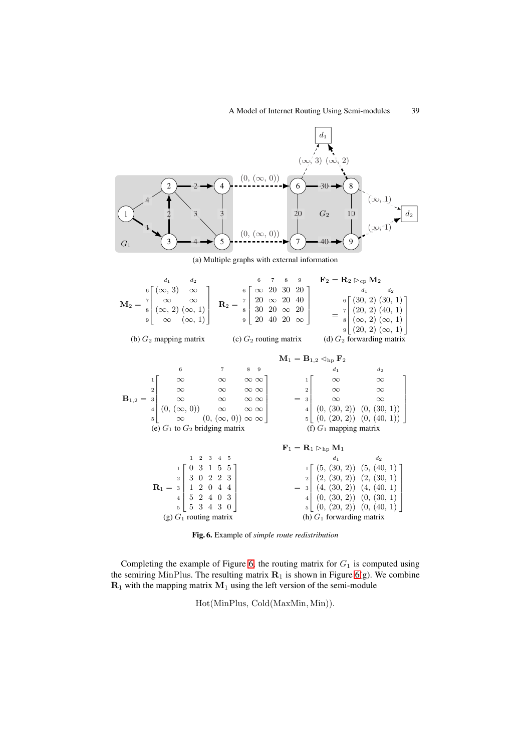

(a) Multiple graphs with external information

|                                                   | $d_1$ $d_2$                                                                                                                                                                                                                                                                                                                                                                                                                                                                                            |                                                                          | $\begin{array}{ccc} 6 & 7 & 8 & 9 \end{array} \qquad {\bf F}_2 = {\bf R}_2 \rhd_{\rm cp} {\bf M}_2$ |  |                                                                       |                             |                                                                                                                                                                                                              |  |  |
|---------------------------------------------------|--------------------------------------------------------------------------------------------------------------------------------------------------------------------------------------------------------------------------------------------------------------------------------------------------------------------------------------------------------------------------------------------------------------------------------------------------------------------------------------------------------|--------------------------------------------------------------------------|-----------------------------------------------------------------------------------------------------|--|-----------------------------------------------------------------------|-----------------------------|--------------------------------------------------------------------------------------------------------------------------------------------------------------------------------------------------------------|--|--|
|                                                   |                                                                                                                                                                                                                                                                                                                                                                                                                                                                                                        |                                                                          |                                                                                                     |  |                                                                       |                             | $9 (20, 2)(\infty, 1) $                                                                                                                                                                                      |  |  |
| (b) $G_2$ mapping matrix (c) $G_2$ routing matrix |                                                                                                                                                                                                                                                                                                                                                                                                                                                                                                        |                                                                          |                                                                                                     |  |                                                                       |                             | (d) $G_2$ forwarding matrix                                                                                                                                                                                  |  |  |
|                                                   |                                                                                                                                                                                                                                                                                                                                                                                                                                                                                                        | $\mathbf{M}_1 = \mathbf{B}_{1,2} \triangleleft_{\text{hp}} \mathbf{F}_2$ |                                                                                                     |  |                                                                       |                             |                                                                                                                                                                                                              |  |  |
|                                                   | 6                                                                                                                                                                                                                                                                                                                                                                                                                                                                                                      | $7 \t 8 \t 9$                                                            |                                                                                                     |  |                                                                       | $d_1$                       | $d_2$                                                                                                                                                                                                        |  |  |
|                                                   |                                                                                                                                                                                                                                                                                                                                                                                                                                                                                                        |                                                                          |                                                                                                     |  |                                                                       |                             |                                                                                                                                                                                                              |  |  |
|                                                   | $\mathbf{B}_{1,2} = \begin{matrix} 1 \\ 2 \\ 3 \\ 4 \\ 5 \end{matrix} \left[\begin{matrix} \infty & \infty & \infty & \infty \\ \infty & \infty & \infty & \infty \\ \infty & \infty & \infty & \infty \\ (\infty, (\infty, 0)) & \infty & \infty & \infty \\ \infty & (\infty, (\infty, 0)) \infty & \infty \end{matrix} \right] \qquad \begin{matrix} 1 \\ 2 \\ 2 \\ 3 \\ 4 \\ 5 \end{matrix} \left[\begin{matrix} \infty & \infty \\ \infty & \infty \\ \infty & \infty \\ (\infty, (30, 2)) & (0,$ |                                                                          |                                                                                                     |  |                                                                       |                             |                                                                                                                                                                                                              |  |  |
|                                                   |                                                                                                                                                                                                                                                                                                                                                                                                                                                                                                        |                                                                          |                                                                                                     |  |                                                                       |                             |                                                                                                                                                                                                              |  |  |
|                                                   |                                                                                                                                                                                                                                                                                                                                                                                                                                                                                                        |                                                                          |                                                                                                     |  |                                                                       |                             |                                                                                                                                                                                                              |  |  |
|                                                   |                                                                                                                                                                                                                                                                                                                                                                                                                                                                                                        |                                                                          |                                                                                                     |  |                                                                       |                             |                                                                                                                                                                                                              |  |  |
|                                                   | (e) $G_1$ to $G_2$ bridging matrix                                                                                                                                                                                                                                                                                                                                                                                                                                                                     |                                                                          |                                                                                                     |  | (f) $G_1$ mapping matrix                                              |                             |                                                                                                                                                                                                              |  |  |
|                                                   |                                                                                                                                                                                                                                                                                                                                                                                                                                                                                                        |                                                                          |                                                                                                     |  | $\mathbf{F}_1 = \mathbf{R}_1 \triangleright_{\text{hp}} \mathbf{M}_1$ |                             |                                                                                                                                                                                                              |  |  |
|                                                   | $1 \t2 \t3 \t4 \t5$                                                                                                                                                                                                                                                                                                                                                                                                                                                                                    |                                                                          |                                                                                                     |  | $d_1$ $d_2$                                                           |                             |                                                                                                                                                                                                              |  |  |
|                                                   |                                                                                                                                                                                                                                                                                                                                                                                                                                                                                                        |                                                                          |                                                                                                     |  |                                                                       |                             |                                                                                                                                                                                                              |  |  |
|                                                   |                                                                                                                                                                                                                                                                                                                                                                                                                                                                                                        |                                                                          |                                                                                                     |  |                                                                       |                             |                                                                                                                                                                                                              |  |  |
|                                                   | $\mathbf{R}_1 = \begin{bmatrix} 1 \\ 2 \\ 3 \\ 0 \\ 2 \end{bmatrix} \begin{bmatrix} 0 & 3 & 1 & 5 & 5 \\ 3 & 0 & 2 & 2 & 3 \\ 1 & 2 & 0 & 4 & 4 \\ 5 & 2 & 4 & 0 & 3 \end{bmatrix}$                                                                                                                                                                                                                                                                                                                    |                                                                          |                                                                                                     |  |                                                                       |                             | $=\begin{bmatrix} 1\\2\\2\\4\\ \end{bmatrix}\begin{pmatrix} (5,\,(30,\,2)) & (5,\,(40,\,1)\\ (2,\,(30,\,2)) & (2,\,(30,\,1)\\ (4,\,(30,\,2)) & (4,\,(40,\,1)\\ (0,\,(30,\,2)) & (0,\,(30,\,1) \end{pmatrix}$ |  |  |
|                                                   |                                                                                                                                                                                                                                                                                                                                                                                                                                                                                                        |                                                                          |                                                                                                     |  |                                                                       |                             |                                                                                                                                                                                                              |  |  |
|                                                   | 53430                                                                                                                                                                                                                                                                                                                                                                                                                                                                                                  |                                                                          |                                                                                                     |  |                                                                       | 5 (0, (20, 2)) (0, (40, 1)) |                                                                                                                                                                                                              |  |  |
| (g) $G_1$ routing matrix                          |                                                                                                                                                                                                                                                                                                                                                                                                                                                                                                        |                                                                          |                                                                                                     |  | (h) $G_1$ forwarding matrix                                           |                             |                                                                                                                                                                                                              |  |  |

**Fig. 6.** Example of *simple route redistribution*

Completing the example of Figure 6, the routing matrix for  $G_1$  is computed using the semiring MinPlus. The resulting matrix  $\mathbf{R}_1$  is shown in Figure 6(g). We combine  $\mathbf{R}_1$  with the mapping matrix  $\mathbf{M}_1$  using the left version of the semi-module

<span id="page-10-0"></span>Hot(MinPlus, [C](#page-10-0)old(MaxMin, Min)).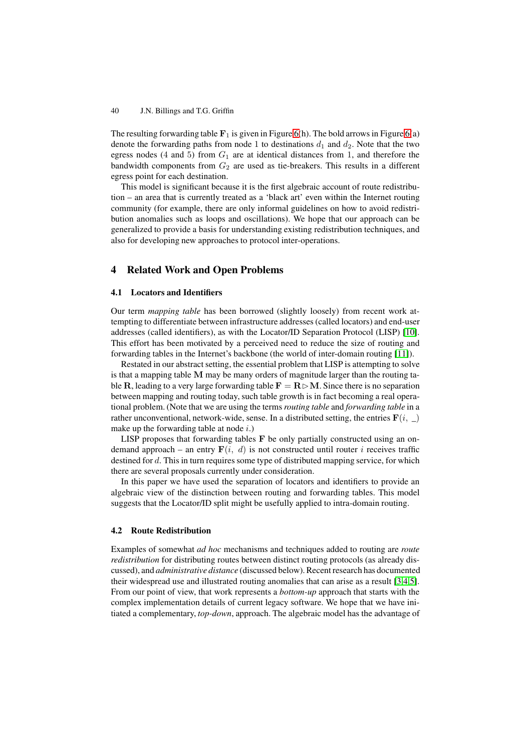The resulting forwarding table  $\mathbf{F}_1$  is given in Figure 6(h). The bold arrows in Figure 6(a) denote the forwarding paths from node 1 to destinations  $d_1$  and  $d_2$ . Note that the two egress nodes (4 and 5) from  $G_1$  are at identical distances from 1, and therefore the bandwidth components from  $G_2$  are used as tie-breakers. This results in a different egress point for each destination.

This model is significant because it is the first algebraic account of route redistribution – an area that is currently treated as a 'black art' even within the Internet routing community (for example, there are only informal guidelines on how to avoid redistribution anomalies such as loops and oscillations). We hope that our approach can be generalized to provide a basis for understanding existing redistribution techniques, and also for developing new approaches to protocol inter-operations.

# **4 Related Work and Open Problems**

#### **4.1 Locators and Identifiers**

Our term *mapping table* has been borrowed (slightly loosely) from recent work attempting to differentiate between infrastructure addresses (called locators) and end-user addresses (called identifiers), as with the Locator/ID Separation Protocol (LISP) [10]. This effort has been motivated by a perceived need to reduce the size of routing and forwarding tables in the Internet's backbone (the world of inter-domain routing [11]).

Restated in our abstract setting, the essential problem that LISP is attempting to solve is that a mapping table **M** may be many orders of magnitude larger than the routin[g ta](#page-13-7)ble **R**, leading to a very large forwarding table  $\mathbf{F} = \mathbf{R} \triangleright \mathbf{M}$ . Since there is no separation between mapping and routing today, such table growth is in fact becoming a real [ope](#page-13-8)rational problem. (Note that we are using the terms *routing table* and *forwarding table* in a rather unconventional, network-wide, sense. In a distributed setting, the entries  $\mathbf{F}(i, \_)$ make up the forwarding table at node  $i$ .)

LISP proposes that forwarding tables **F** be only partially constructed using an ondemand approach – an entry  $\mathbf{F}(i, d)$  is not constructed until router i receives traffic destined for d. This in turn requires some type of distributed mapping service, for which there are several proposals currently under consideration.

In this paper we have used the separation of locators and identifiers to provide an algebraic view of the distinction between routing and forwarding tables. This model suggests that the Locator/ID split might be usefully applied to intra-domain routing.

### **4.2 Route Redistribution**

Examples of somewhat *ad hoc* mechanisms and techniques added to routing are *route redistribution* for distributing routes between distinct routing protocols (as already discussed), and *administrative distance* (discussed below). Recent research has documented their widespread use and illustrated routing anomalies that can arise as a result [3,4,5]. From our point of view, that work represents a *bottom-up* approach that starts with the complex implementation details of current legacy software. We hope that we have initiated a complementary, *top-down*, approach. The algebraic model has the advantage of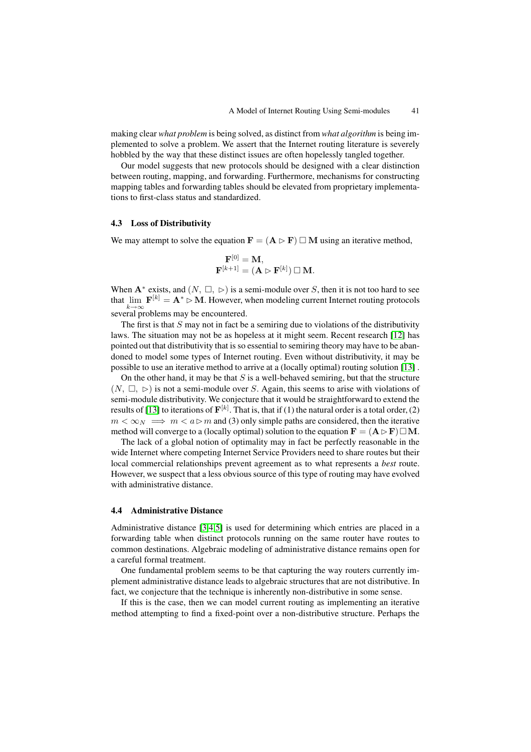making clear *what problem* is being solved, as distinct from *what algorithm* is being implemented to solve a problem. We assert that the Internet routing literature is severely hobbled by the way that these distinct issues are often hopelessly tangled together.

Our model suggests that new protocols should be designed with a clear distinction between routing, mapping, and forwarding. Furthermore, mechanisms for constructing mapping tables and forwarding tables should be elevated from proprietary implementations to first-class status and standardized.

### **4.3 Loss of Distributivity**

We may attempt to solve the equation  $\mathbf{F} = (\mathbf{A} \triangleright \mathbf{F}) \square \mathbf{M}$  using an iterative method,

$$
\begin{aligned} \mathbf{F}^{[0]} &= \mathbf{M}, \\ \mathbf{F}^{[k+1]} &= (\mathbf{A} \rhd \mathbf{F}^{[k]}) \ \Box \ \mathbf{M}. \end{aligned}
$$

When  $A^*$  exists, and  $(N, \Box, \triangleright)$  is a semi-module over S, then it is not too hard to see that  $\lim_{k \to \infty} \mathbf{F}^{[k]} = \mathbf{A}^* \triangleright \mathbf{M}$ . However, when modeling current Internet routing protocols several problems may be encountered.

The first is that  $S$  may not in fact be a semiring due to violations of the distributivity laws. The situation may not be as hopeless at it might seem. Recent research [12] has pointed out that distributivity that is so essential to semiring theory may have to be abandoned to model some types of Internet routing. Even without distributivity, it may be possible to use an iterative method to arrive at a (locally optimal) routing solution [13] .

On the other hand, it may be that  $S$  is a well-behaved semiring, but that the s[truc](#page-13-9)ture  $(N, \Box, \triangleright)$  is not a semi-module over S. Again, this seems to arise with violations of semi-module distributivity. We conjecture that it would be straightforward to extend the results of [13] to iterations of  $F^{[k]}$ . That is, that if (1) the natural order is a total ord[er, \(2](#page-13-10))  $m < \infty_N \implies m < a \triangleright m$  and (3) only simple paths are considered, then the iterative method will converge to a (locally optimal) solution to the equation  $\mathbf{F} = (\mathbf{A} \triangleright \mathbf{F}) \square \mathbf{M}$ .

The lack of a global notion of optimality may in fact be perfectly reasonable in the wide Inter[net](#page-13-10) where competing Internet Service Providers need to share routes but their local commercial relationships prevent agreement as to what represents a *best* route. However, we suspect that a less obvious source of this type of routing may have evolved with administrative distance.

### **4.4 Administrative Distance**

Administrative distance [3,4,5] is used for determining which entries are placed in a forwarding table when distinct protocols running on the same router have routes to common destinations. Algebraic modeling of administrative distance remains open for a careful formal treatment.

One fundamental pro[ble](#page-13-1)[m](#page-13-2) [s](#page-13-3)eems to be that capturing the way routers currently implement administrative distance leads to algebraic structures that are not distributive. In fact, we conjecture that the technique is inherently non-distributive in some sense.

If this is the case, then we can model current routing as implementing an iterative method attempting to find a fixed-point over a non-distributive structure. Perhaps the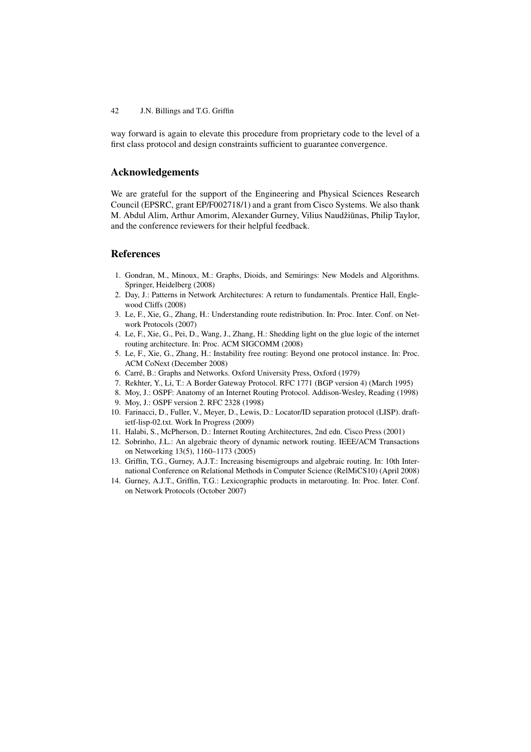way forward is again to elevate this procedure from proprietary code to the level of a first class protocol and design constraints sufficient to guarantee convergence.

# **Acknowledgements**

We are grateful for the support of the Engineering and Physical Sciences Research Council (EPSRC, grant EP/F002718/1) and a grant from Cisco Systems. We also thank M. Abdul Alim, Arthur Amorim, Alexander Gurney, Vilius Naudžiūnas, Philip Taylor, and the conference reviewers for their helpful feedback.

## <span id="page-13-0"></span>**References**

- 1. Gondran, M., Minoux, M.: Graphs, Dioids, and Semirings: New Models and Algorithms. Springer, Heidelberg (2008)
- 2. Day, J.: Patterns in Network Architectures: A return to fundamentals. Prentice Hall, Englewood Cliffs (2008)
- <span id="page-13-1"></span>3. Le, F., Xie, G., Zhang, H.: Understanding route redistribution. In: Proc. Inter. Conf. on Network Protocols (2007)
- <span id="page-13-2"></span>4. Le, F., Xie, G., Pei, D., Wang, J., Zhang, H.: Shedding light on the glue logic of the internet routing architecture. In: Proc. ACM SIGCOMM (2008)
- <span id="page-13-3"></span>5. Le, F., Xie, G., Zhang, H.: Instability free routing: Beyond one protocol instance. In: Proc. ACM CoNext (December 2008)
- <span id="page-13-4"></span>6. Carré, B.: Graphs and Networks. Oxford University Press, Oxford (1979)
- <span id="page-13-5"></span>7. Rekhter, Y., Li, T.: A Border Gateway Protocol. RFC 1771 (BGP version 4) (March 1995)
- <span id="page-13-6"></span>8. Moy, J.: OSPF: Anatomy of an Internet Routing Protocol. Addison-Wesley, Reading (1998)
- <span id="page-13-7"></span>9. Moy, J.: OSPF version 2. RFC 2328 (1998)
- 10. Farinacci, D., Fuller, V., Meyer, D., Lewis, D.: Locator/ID separation protocol (LISP). draftietf-lisp-02.txt. Work In Progress (2009)
- <span id="page-13-9"></span><span id="page-13-8"></span>11. Halabi, S., McPherson, D.: Internet Routing Architectures, 2nd edn. Cisco Press (2001)
- 12. Sobrinho, J.L.: An algebraic theory of dynamic network routing. IEEE/ACM Transactions on Networking 13(5), 1160–1173 (2005)
- <span id="page-13-10"></span>13. Griffin, T.G., Gurney, A.J.T.: Increasing bisemigroups and algebraic routing. In: 10th International Conference on Relational Methods in Computer Science (RelMiCS10) (April 2008)
- <span id="page-13-11"></span>14. Gurney, A.J.T., Griffin, T.G.: Lexicographic products in metarouting. In: Proc. Inter. Conf. on Network Protocols (October 2007)